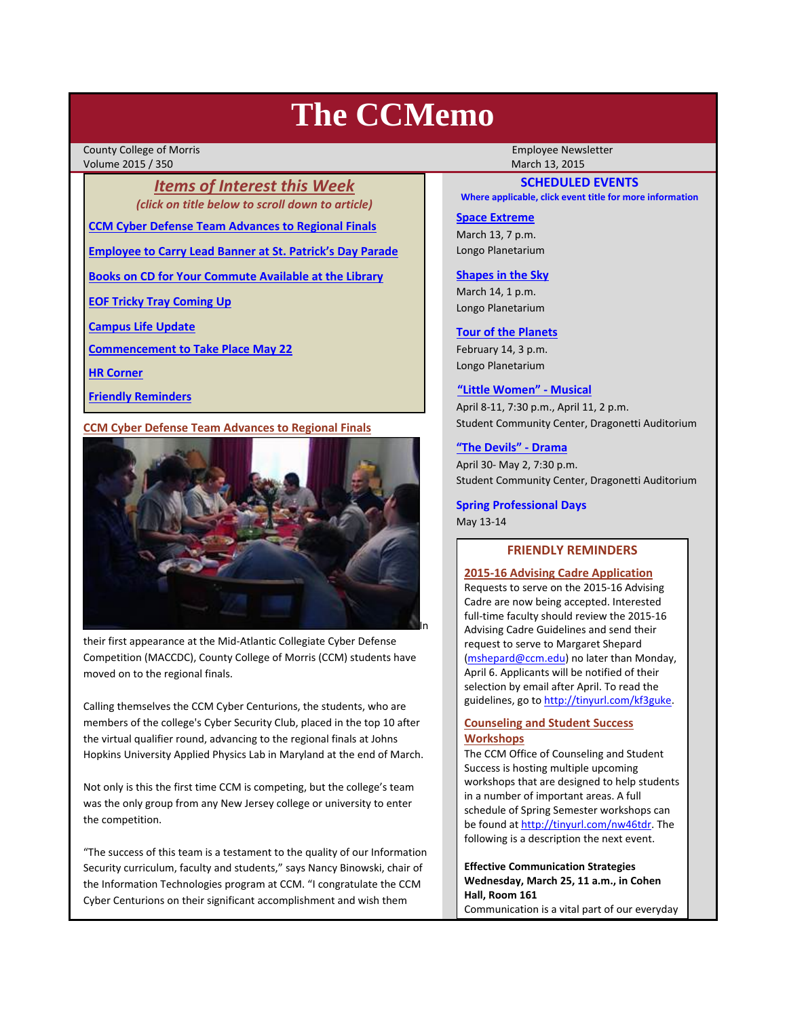# **The CCMemo**

County College of Morris **The County College of Morris County College Act Act 2014** Volume 2015 / 350 March 13, 2015

*Items of Interest this Week (click on title below to scroll down to article)*

**CCM Cyber Defense Team Advances to Regional Finals**

**Employee to Carry Lead Banner at St. Patrick's Day Parade**

**Books on CD for Your Commute Available at the Library**

**EOF Tricky Tray Coming Up**

**Campus Life Update**

**Commencement to Take Place May 22**

**HR Corner**

**Friendly Reminders**

# **CCM Cyber Defense Team Advances to Regional Finals**



their first appearance at the Mid‐Atlantic Collegiate Cyber Defense Competition (MACCDC), County College of Morris (CCM) students have moved on to the regional finals.

Calling themselves the CCM Cyber Centurions, the students, who are members of the college's Cyber Security Club, placed in the top 10 after the virtual qualifier round, advancing to the regional finals at Johns Hopkins University Applied Physics Lab in Maryland at the end of March.

Not only is this the first time CCM is competing, but the college's team was the only group from any New Jersey college or university to enter the competition.

"The success of this team is a testament to the quality of our Information Security curriculum, faculty and students," says Nancy Binowski, chair of the Information Technologies program at CCM. "I congratulate the CCM Cyber Centurions on their significant accomplishment and wish them

# **SCHEDULED EVENTS**

**Where applicable, click event title for more information**

## **Space Extreme**

March 13, 7 p.m. Longo Planetarium

# **Shapes in the Sky**

March 14, 1 p.m. Longo Planetarium

### **Tour of the Planets**

February 14, 3 p.m. Longo Planetarium

#### **"Little Women" ‐ Musical**

April 8‐11, 7:30 p.m., April 11, 2 p.m. Student Community Center, Dragonetti Auditorium

# **"The Devils" ‐ Drama**

April 30‐ May 2, 7:30 p.m. Student Community Center, Dragonetti Auditorium

**Spring Professional Days** May 13‐14

# **FRIENDLY REMINDERS**

# **2015‐16 Advising Cadre Application**

Requests to serve on the 2015‐16 Advising Cadre are now being accepted. Interested full-time faculty should review the 2015-16 Advising Cadre Guidelines and send their request to serve to Margaret Shepard (mshepard@ccm.edu) no later than Monday, April 6. Applicants will be notified of their selection by email after April. To read the guidelines, go to http://tinyurl.com/kf3guke.

# **Counseling and Student Success Workshops**

The CCM Office of Counseling and Student Success is hosting multiple upcoming workshops that are designed to help students in a number of important areas. A full schedule of Spring Semester workshops can be found at http://tinyurl.com/nw46tdr. The following is a description the next event.

**Effective Communication Strategies Wednesday, March 25, 11 a.m., in Cohen Hall, Room 161** Communication is a vital part of our everyday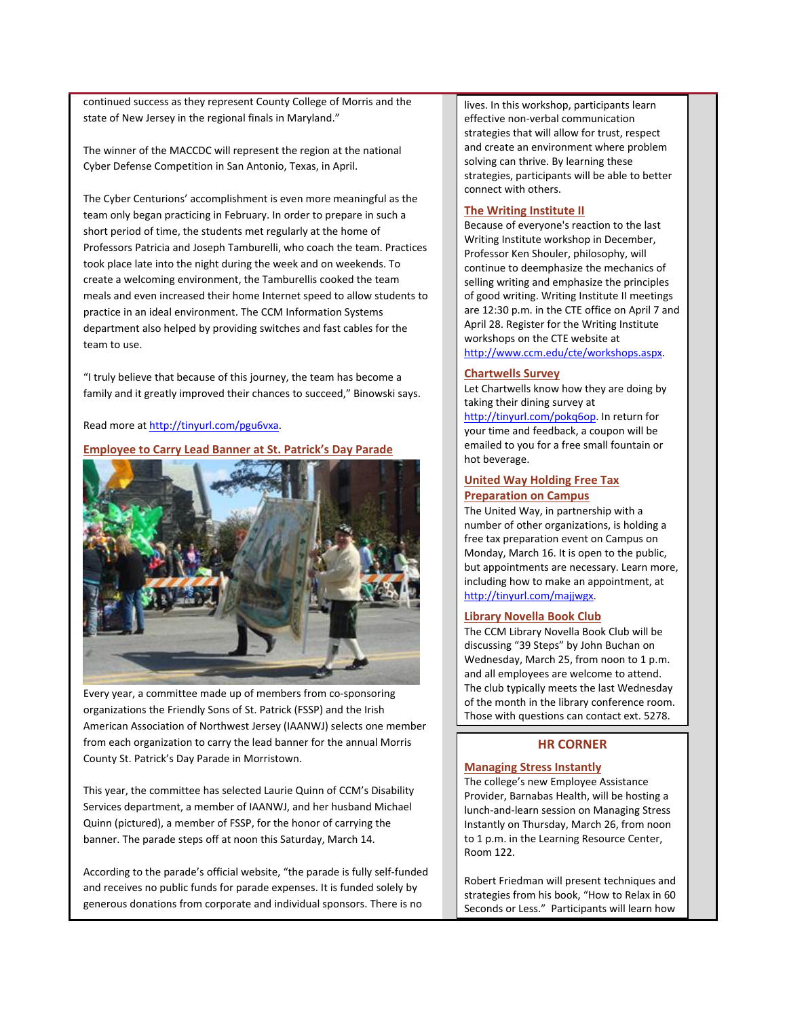continued success as they represent County College of Morris and the state of New Jersey in the regional finals in Maryland."

The winner of the MACCDC will represent the region at the national Cyber Defense Competition in San Antonio, Texas, in April.

The Cyber Centurions' accomplishment is even more meaningful as the team only began practicing in February. In order to prepare in such a short period of time, the students met regularly at the home of Professors Patricia and Joseph Tamburelli, who coach the team. Practices took place late into the night during the week and on weekends. To create a welcoming environment, the Tamburellis cooked the team meals and even increased their home Internet speed to allow students to practice in an ideal environment. The CCM Information Systems department also helped by providing switches and fast cables for the team to use.

"I truly believe that because of this journey, the team has become a family and it greatly improved their chances to succeed," Binowski says.

## Read more at http://tinyurl.com/pgu6vxa.

#### **Employee to Carry Lead Banner at St. Patrick's Day Parade**



Every year, a committee made up of members from co‐sponsoring organizations the Friendly Sons of St. Patrick (FSSP) and the Irish American Association of Northwest Jersey (IAANWJ) selects one member from each organization to carry the lead banner for the annual Morris County St. Patrick's Day Parade in Morristown.

This year, the committee has selected Laurie Quinn of CCM's Disability Services department, a member of IAANWJ, and her husband Michael Quinn (pictured), a member of FSSP, for the honor of carrying the banner. The parade steps off at noon this Saturday, March 14.

According to the parade's official website, "the parade is fully self‐funded and receives no public funds for parade expenses. It is funded solely by generous donations from corporate and individual sponsors. There is no

lives. In this workshop, participants learn effective non‐verbal communication strategies that will allow for trust, respect and create an environment where problem solving can thrive. By learning these strategies, participants will be able to better connect with others.

## **The Writing Institute II**

Because of everyone's reaction to the last Writing Institute workshop in December, Professor Ken Shouler, philosophy, will continue to deemphasize the mechanics of selling writing and emphasize the principles of good writing. Writing Institute II meetings are 12:30 p.m. in the CTE office on April 7 and April 28. Register for the Writing Institute workshops on the CTE website at http://www.ccm.edu/cte/workshops.aspx.

## **Chartwells Survey**

Let Chartwells know how they are doing by taking their dining survey at

http://tinyurl.com/pokq6op. In return for your time and feedback, a coupon will be emailed to you for a free small fountain or hot beverage.

# **United Way Holding Free Tax Preparation on Campus**

The United Way, in partnership with a number of other organizations, is holding a free tax preparation event on Campus on Monday, March 16. It is open to the public, but appointments are necessary. Learn more, including how to make an appointment, at http://tinyurl.com/majjwgx.

#### **Library Novella Book Club**

The CCM Library Novella Book Club will be discussing "39 Steps" by John Buchan on Wednesday, March 25, from noon to 1 p.m. and all employees are welcome to attend. The club typically meets the last Wednesday of the month in the library conference room. Those with questions can contact ext. 5278.

# **HR CORNER**

#### **Managing Stress Instantly**

The college's new Employee Assistance Provider, Barnabas Health, will be hosting a lunch‐and‐learn session on Managing Stress Instantly on Thursday, March 26, from noon to 1 p.m. in the Learning Resource Center, Room 122.

Robert Friedman will present techniques and strategies from his book, "How to Relax in 60 Seconds or Less." Participants will learn how